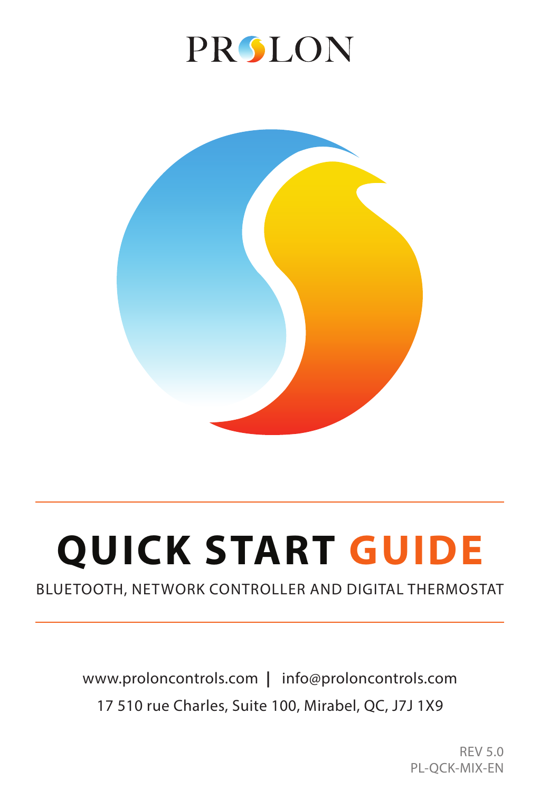## **PROLON**



# **QUICK START GUIDE**

#### BLUETOOTH, NETWORK CONTROLLER AND DIGITAL THERMOSTAT

## www.proloncontrols.com **|** info@proloncontrols.com 17 510 rue Charles, Suite 100, Mirabel, QC, J7J 1X9

REV 5.0 PL-QCK-MIX-EN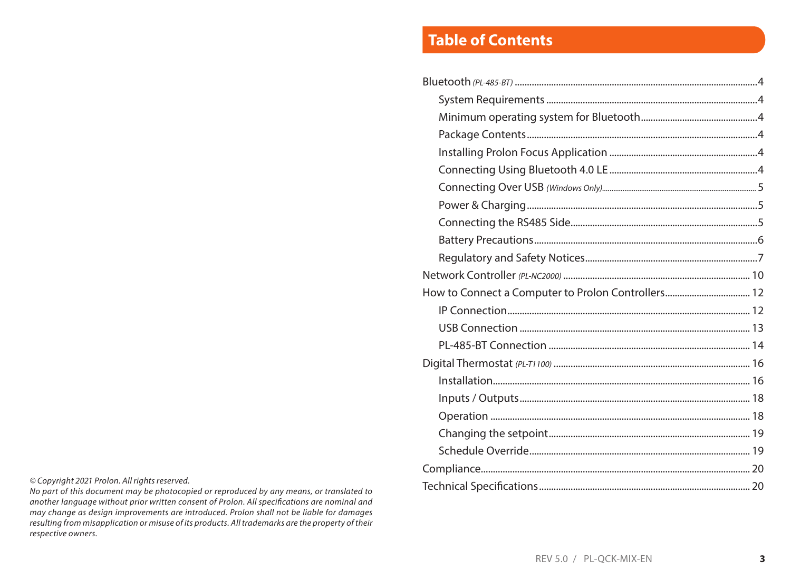## **Table of Contents**

| How to Connect a Computer to Prolon Controllers 12 |  |
|----------------------------------------------------|--|
|                                                    |  |
|                                                    |  |
|                                                    |  |
|                                                    |  |
|                                                    |  |
|                                                    |  |
|                                                    |  |
|                                                    |  |
|                                                    |  |
|                                                    |  |
|                                                    |  |

*© Copyright 2021 Prolon. All rights reserved.*

*No part of this document may be photocopied or reproduced by any means, or translated to another language without prior written consent of Prolon. All specifications are nominal and may change as design improvements are introduced. Prolon shall not be liable for damages resulting from misapplication or misuse of its products. All trademarks are the property of their respective owners.*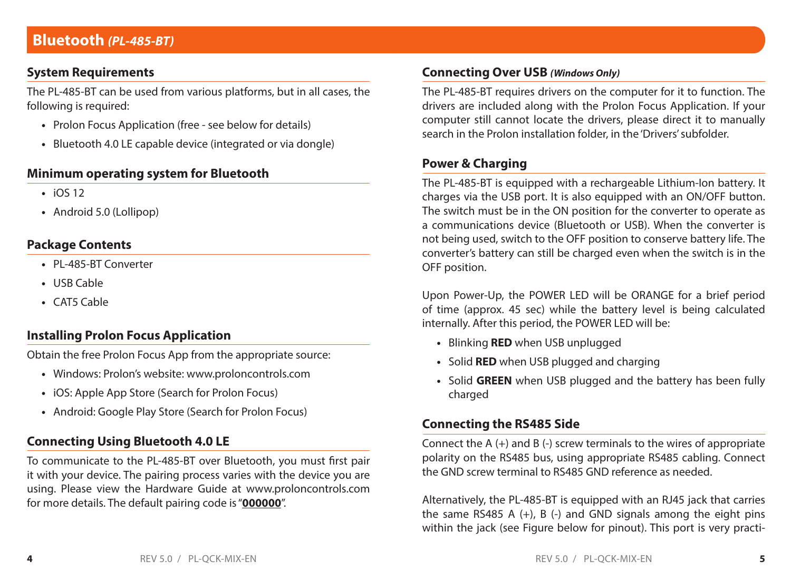## **System Requirements**

The PL-485-BT can be used from various platforms, but in all cases, the following is required:

- **•** Prolon Focus Application (free see below for details)
- **•** Bluetooth 4.0 LE capable device (integrated or via dongle)

## **Minimum operating system for Bluetooth**

- **•** iOS 12
- **•** Android 5.0 (Lollipop)

## **Package Contents**

- **•** PL-485-BT Converter
- **•** USB Cable
- **•** CAT5 Cable

## **Installing Prolon Focus Application**

Obtain the free Prolon Focus App from the appropriate source:

- **•** Windows: Prolon's website: www.proloncontrols.com
- **•** iOS: Apple App Store (Search for Prolon Focus)
- **•** Android: Google Play Store (Search for Prolon Focus)

## **Connecting Using Bluetooth 4.0 LE**

To communicate to the PL-485-BT over Bluetooth, you must first pair it with your device. The pairing process varies with the device you are using. Please view the Hardware Guide at www.proloncontrols.com for more details. The default pairing code is "**000000**".

## **Connecting Over USB** *(Windows Only)*

The PL-485-BT requires drivers on the computer for it to function. The drivers are included along with the Prolon Focus Application. If your computer still cannot locate the drivers, please direct it to manually search in the Prolon installation folder, in the 'Drivers' subfolder.

## **Power & Charging**

The PL-485-BT is equipped with a rechargeable Lithium-Ion battery. It charges via the USB port. It is also equipped with an ON/OFF button. The switch must be in the ON position for the converter to operate as a communications device (Bluetooth or USB). When the converter is not being used, switch to the OFF position to conserve battery life. The converter's battery can still be charged even when the switch is in the OFF position.

Upon Power-Up, the POWER LED will be ORANGE for a brief period of time (approx. 45 sec) while the battery level is being calculated internally. After this period, the POWER LED will be:

- **•** Blinking **RED** when USB unplugged
- **•** Solid **RED** when USB plugged and charging
- **•** Solid **GREEN** when USB plugged and the battery has been fully charged

## **Connecting the RS485 Side**

Connect the  $A$  (+) and  $B$  (-) screw terminals to the wires of appropriate polarity on the RS485 bus, using appropriate RS485 cabling. Connect the GND screw terminal to RS485 GND reference as needed.

Alternatively, the PL-485-BT is equipped with an RJ45 jack that carries the same RS485 A  $(+)$ , B  $(-)$  and GND signals among the eight pins within the jack (see Figure below for pinout). This port is very practi-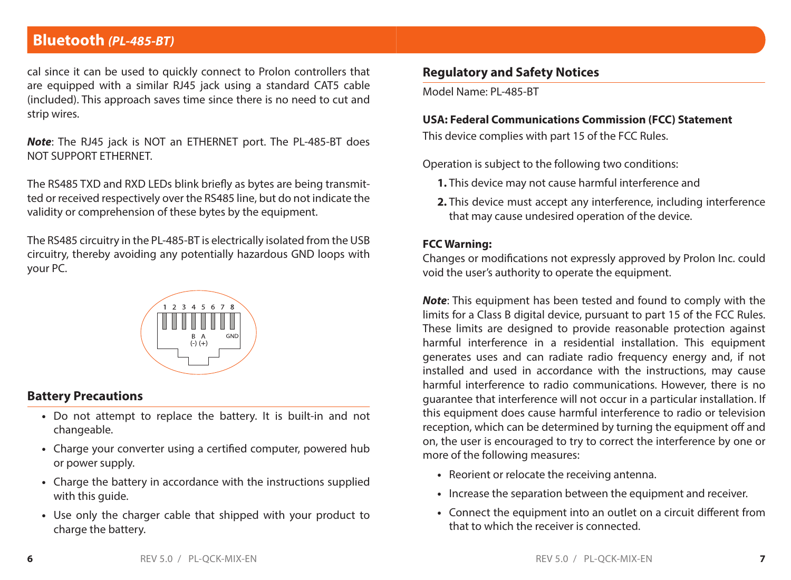## **Bluetooth** *(PL-485-BT)*

cal since it can be used to quickly connect to Prolon controllers that are equipped with a similar RJ45 jack using a standard CAT5 cable (included). This approach saves time since there is no need to cut and strip wires.

*Note*: The RJ45 jack is NOT an ETHERNET port. The PL-485-BT does NOT SUPPORT ETHERNET.

The RS485 TXD and RXD LEDs blink briefly as bytes are being transmitted or received respectively over the RS485 line, but do not indicate the validity or comprehension of these bytes by the equipment.

The RS485 circuitry in the PL-485-BT is electrically isolated from the USB circuitry, thereby avoiding any potentially hazardous GND loops with your PC.



#### **Battery Precautions**

- **•** Do not attempt to replace the battery. It is built-in and not changeable.
- **•** Charge your converter using a certified computer, powered hub or power supply.
- **•** Charge the battery in accordance with the instructions supplied with this guide.
- **•** Use only the charger cable that shipped with your product to charge the battery.

## **Regulatory and Safety Notices**

Model Name: PL-485-BT

#### **USA: Federal Communications Commission (FCC) Statement**

This device complies with part 15 of the FCC Rules.

Operation is subject to the following two conditions:

- **1.** This device may not cause harmful interference and
- **2.** This device must accept any interference, including interference that may cause undesired operation of the device.

#### **FCC Warning:**

Changes or modifications not expressly approved by Prolon Inc. could void the user's authority to operate the equipment.

*Note*: This equipment has been tested and found to comply with the limits for a Class B digital device, pursuant to part 15 of the FCC Rules. These limits are designed to provide reasonable protection against harmful interference in a residential installation. This equipment generates uses and can radiate radio frequency energy and, if not installed and used in accordance with the instructions, may cause harmful interference to radio communications. However, there is no guarantee that interference will not occur in a particular installation. If this equipment does cause harmful interference to radio or television reception, which can be determined by turning the equipment off and on, the user is encouraged to try to correct the interference by one or more of the following measures:

- **•** Reorient or relocate the receiving antenna.
- **•** Increase the separation between the equipment and receiver.
- **•** Connect the equipment into an outlet on a circuit different from that to which the receiver is connected.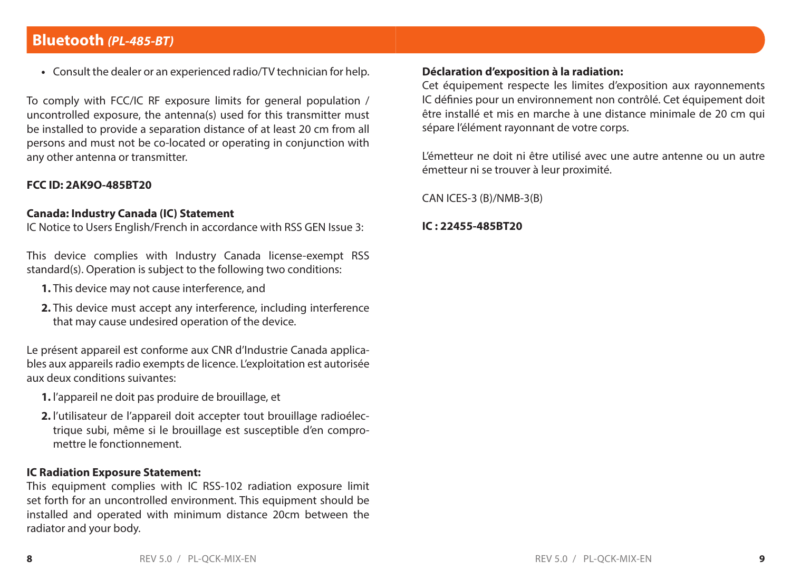## **Bluetooth** *(PL-485-BT)*

**•** Consult the dealer or an experienced radio/TV technician for help.

To comply with FCC/IC RF exposure limits for general population / uncontrolled exposure, the antenna(s) used for this transmitter must be installed to provide a separation distance of at least 20 cm from all persons and must not be co-located or operating in conjunction with any other antenna or transmitter.

#### **FCC ID: 2AK9O-485BT20**

#### **Canada: Industry Canada (IC) Statement**

IC Notice to Users English/French in accordance with RSS GEN Issue 3:

This device complies with Industry Canada license-exempt RSS standard(s). Operation is subject to the following two conditions:

- **1.** This device may not cause interference, and
- **2.** This device must accept any interference, including interference that may cause undesired operation of the device.

Le présent appareil est conforme aux CNR d'Industrie Canada applicables aux appareils radio exempts de licence. L'exploitation est autorisée aux deux conditions suivantes:

- **1.** l'appareil ne doit pas produire de brouillage, et
- **2.** l'utilisateur de l'appareil doit accepter tout brouillage radioélec trique subi, même si le brouillage est susceptible d'en compro mettre le fonctionnement.

#### **IC Radiation Exposure Statement:**

This equipment complies with IC RSS-102 radiation exposure limit set forth for an uncontrolled environment. This equipment should be installed and operated with minimum distance 20cm between the radiator and your body.

## **Déclaration d'exposition à la radiation:**

Cet équipement respecte les limites d'exposition aux rayonnements IC définies pour un environnement non contrôlé. Cet équipement doit être installé et mis en marche à une distance minimale de 20 cm qui sépare l'élément rayonnant de votre corps.

L'émetteur ne doit ni être utilisé avec une autre antenne ou un autre émetteur ni se trouver à leur proximité.

CAN ICES-3 (B)/NMB-3(B)

#### **IC : 22455-485BT20**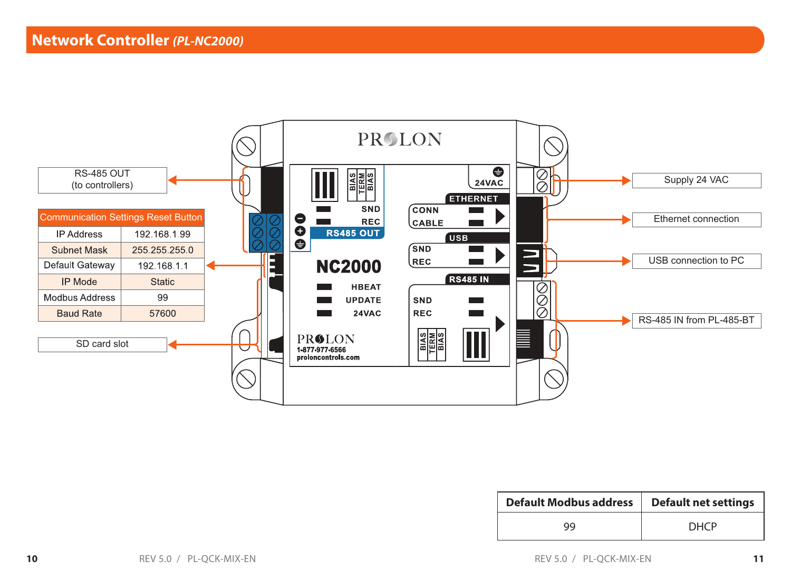

| <b>Default Modbus address</b> | <b>Default net settings</b> |
|-------------------------------|-----------------------------|
| 99                            | <b>DHCP</b>                 |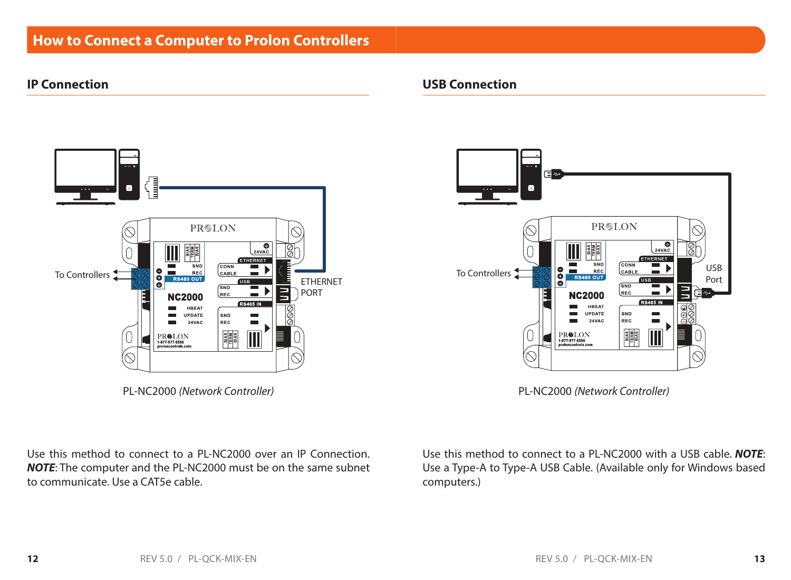## **How to Connect a Computer to Prolon Controllers**

### **IP Connection**



PL-NC2000 *(Network Controller)*

Use this method to connect to a PL-NC2000 over an IP Connection. *NOTE*: The computer and the PL-NC2000 must be on the same subnet to communicate. Use a CAT5e cable.

#### **USB Connection**



PL-NC2000 *(Network Controller)*

Use this method to connect to a PL-NC2000 with a USB cable. *NOTE*: Use a Type-A to Type-A USB Cable. (Available only for Windows based computers.)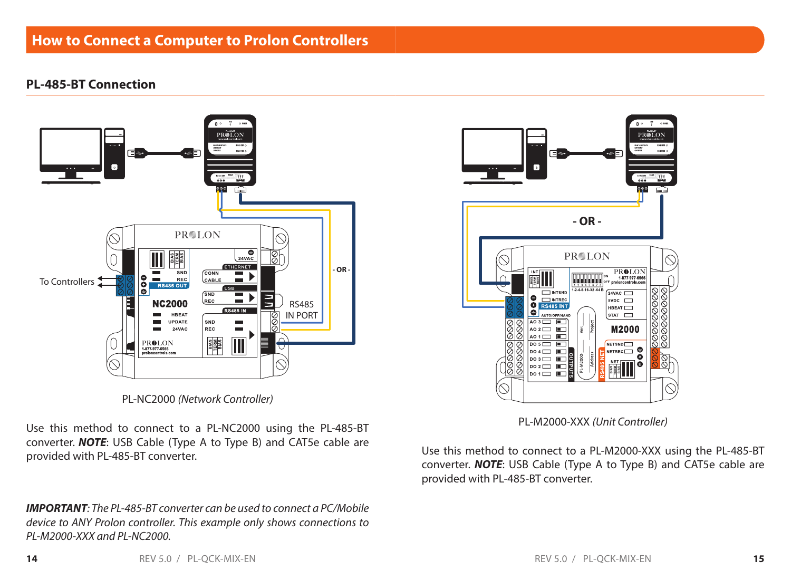## **How to Connect a Computer to Prolon Controllers**

#### **PL-485-BT Connection**



**- OR - PROLON**  $\frac{\text{PROLON}}{\text{1877.977.6566}}$ **THEFTHERE**  $1.2 - 4.3 - 16.32 - 64 B$ **INTSND**  $24VAC$  $\bullet$  $\Box$ INTREC  $SVDC$   $\Box$  $\bullet$ **RS485 INT** HBEAT è  $str \Box$  $AO3$ **M2000**  $0.2$ NETSND<sup>I</sup>  $DO 5$ NETREC<sub>O</sub>  $0.4$ Æ ŏ  $\mathbf{D} \circ \mathbf{S} \Box$ ٦ō  $\mathbf{D} \circ \mathbf{2}$   $\blacksquare$ 翻  $\overline{\mathsf{p}}$   $\mathsf{p}$   $\mathsf{p}$   $\mathsf{p}$   $\mathsf{p}$   $\mathsf{p}$   $\mathsf{p}$   $\mathsf{p}$   $\mathsf{p}$   $\mathsf{p}$   $\mathsf{p}$   $\mathsf{p}$   $\mathsf{p}$   $\mathsf{p}$   $\mathsf{p}$   $\mathsf{p}$   $\mathsf{p}$   $\mathsf{p}$   $\mathsf{p}$   $\mathsf{p}$   $\mathsf{p}$   $\mathsf{p}$   $\mathsf{p}$   $\mathsf{p}$   $\$ 

PL-NC2000 *(Network Controller)*

Use this method to connect to a PL-NC2000 using the PL-485-BT converter. *NOTE*: USB Cable (Type A to Type B) and CAT5e cable are provided with PL-485-BT converter.

*IMPORTANT: The PL-485-BT converter can be used to connect a PC/Mobile device to ANY Prolon controller. This example only shows connections to PL-M2000-XXX and PL-NC2000.* 

PL-M2000-XXX *(Unit Controller)*

Use this method to connect to a PL-M2000-XXX using the PL-485-BT converter. *NOTE*: USB Cable (Type A to Type B) and CAT5e cable are provided with PL-485-BT converter.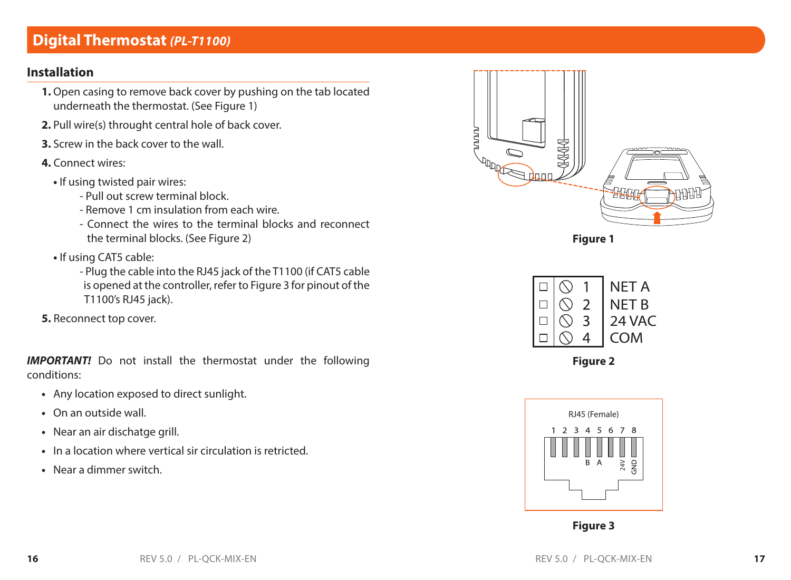## **Digital Thermostat** *(PL-T1100)*

## **Installation**

- **1.** Open casing to remove back cover by pushing on the tab located underneath the thermostat. (See Figure 1)
- **2.** Pull wire(s) throught central hole of back cover.
- **3.** Screw in the back cover to the wall.
- **4.** Connect wires:
	- If using twisted pair wires:
		- Pull out screw terminal block.
		- Remove 1 cm insulation from each wire.
		- Connect the wires to the terminal blocks and reconnect the terminal blocks. (See Figure 2)
	- **•** If using CAT5 cable:
		- Plug the cable into the RJ45 jack of the T1100 (if CAT5 cable is opened at the controller, refer to Figure 3 for pinout of the T1100's RJ45 jack).
- **5.** Reconnect top cover.

**IMPORTANT!** Do not install the thermostat under the following conditions:

- **•** Any location exposed to direct sunlight.
- **•** On an outside wall.
- **•** Near an air dischatge grill.
- **•** In a location where vertical sir circulation is retricted.
- **•** Near a dimmer switch.



**Figure 1**



**Figure 2**



**Figure 3**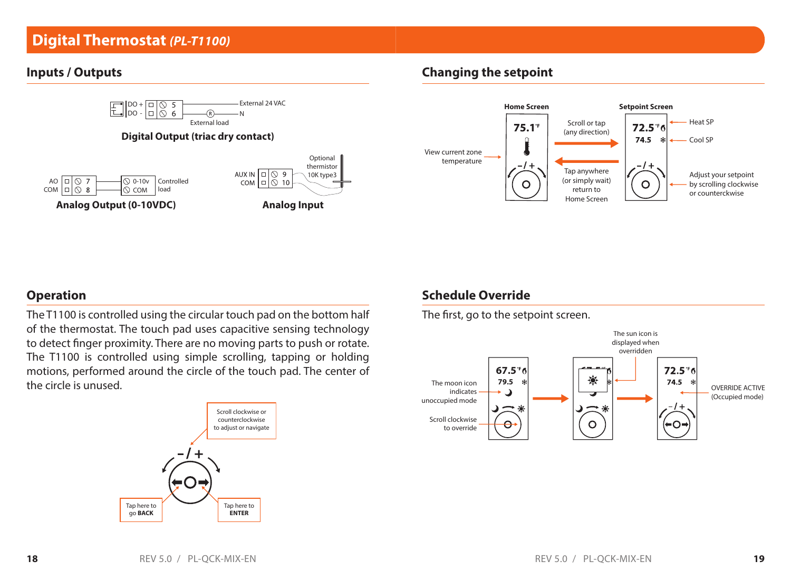## **Digital Thermostat** *(PL-T1100)*

#### **Inputs / Outputs**



## **Changing the setpoint**



## **Operation**

The T1100 is controlled using the circular touch pad on the bottom half of the thermostat. The touch pad uses capacitive sensing technology to detect finger proximity. There are no moving parts to push or rotate. The T1100 is controlled using simple scrolling, tapping or holding motions, performed around the circle of the touch pad. The center of the circle is unused.



## **Schedule Override**

The first, go to the setpoint screen.